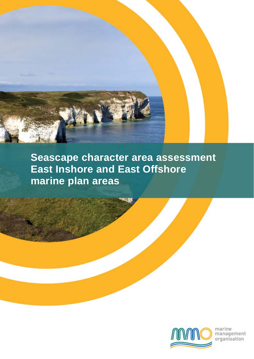

**Seascape character area assessment East Inshore and East Offshore marine plan areas**



marine<br>management<br>organisation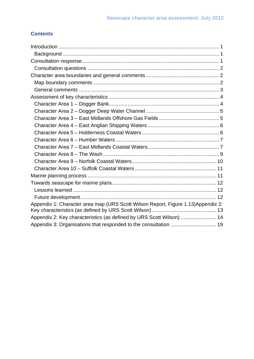## **Contents**

| Appendix 1: Character area map (URS Scott Wilson Report, Figure 1.13) Appendix 2: |
|-----------------------------------------------------------------------------------|
|                                                                                   |
| Appendix 2: Key characteristics (as defined by URS Scott Wilson)  14              |
|                                                                                   |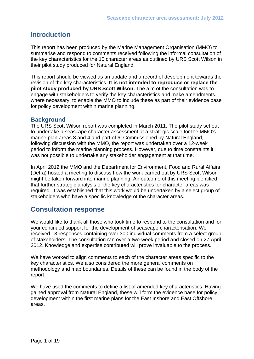# <span id="page-2-0"></span>**Introduction**

This report has been produced by the Marine Management Organisation (MMO) to summarise and respond to comments received following the informal consultation of the key characteristics for the 10 character areas as outlined by URS Scott Wilson in their pilot study produced for Natural England.

This report should be viewed as an update and a record of development towards the revision of the key characteristics. **It is not intended to reproduce or replace the pilot study produced by URS Scott Wilson.** The aim of the consultation was to engage with stakeholders to verify the key characteristics and make amendments, where necessary, to enable the MMO to include these as part of their evidence base for policy development within marine planning.

## **Background**

The URS Scott Wilson report was completed in March 2011. The pilot study set out to undertake a seascape character assessment at a strategic scale for the MMO's marine plan areas 3 and 4 and part of 6. Commissioned by Natural England, following discussion with the MMO, the report was undertaken over a 12-week period to inform the marine planning process. However, due to time constraints it was not possible to undertake any stakeholder engagement at that time.

In April 2012 the MMO and the Department for Environment, Food and Rural Affairs (Defra) hosted a meeting to discuss how the work carried out by URS Scott Wilson might be taken forward into marine planning. An outcome of this meeting identified that further strategic analysis of the key characteristics for character areas was required. It was established that this work would be undertaken by a select group of stakeholders who have a specific knowledge of the character areas.

# **Consultation response**

We would like to thank all those who took time to respond to the consultation and for your continued support for the development of seascape characterisation. We received 18 responses containing over 300 individual comments from a select group of stakeholders. The consultation ran over a two-week period and closed on 27 April 2012. Knowledge and expertise contributed will prove invaluable to the process.

We have worked to align comments to each of the character areas specific to the key characteristics. We also considered the more general comments on methodology and map boundaries. Details of these can be found in the body of the report.

We have used the comments to define a list of amended key characteristics. Having gained approval from Natural England, these will form the evidence base for policy development within the first marine plans for the East Inshore and East Offshore areas.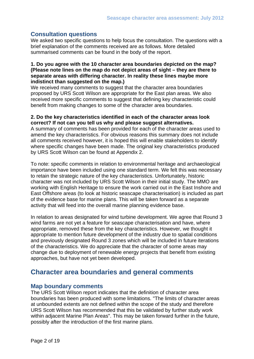## <span id="page-3-0"></span>**Consultation questions**

We asked two specific questions to help focus the consultation. The questions with a brief explanation of the comments received are as follows. More detailed summarised comments can be found in the body of the report.

#### **1. Do you agree with the 10 character area boundaries depicted on the map? (Please note lines on the map do not depict areas of sight – they are there to separate areas with differing character. In reality these lines maybe more indistinct than suggested on the map.)**

We received many comments to suggest that the character area boundaries proposed by URS Scott Wilson are appropriate for the East plan areas. We also received more specific comments to suggest that defining key characteristic could benefit from making changes to some of the character area boundaries.

#### **2. Do the key characteristics identified in each of the character areas look correct? If not can you tell us why and please suggest alternatives.**

A summary of comments has been provided for each of the character areas used to amend the key characteristics. For obvious reasons this summary does not include all comments received however, it is hoped this will enable stakeholders to identify where specific changes have been made. The original key characteristics produced by URS Scott Wilson can be found at Appendix 2.

To note: specific comments in relation to environmental heritage and archaeological importance have been included using one standard term. We felt this was necessary to retain the strategic nature of the key characteristics. Unfortunately, historic character was not included by URS Scott Wilson in their initial study. The MMO are working with English Heritage to ensure the work carried out in the East Inshore and East Offshore areas (to look at historic seascape characterisation) is included as part of the evidence base for marine plans. This will be taken forward as a separate activity that will feed into the overall marine planning evidence base.

In relation to areas designated for wind turbine development. We agree that Round 3 wind farms are not yet a feature for seascape characterisation and have, where appropriate, removed these from the key characteristics. However, we thought it appropriate to mention future development of the industry due to spatial conditions and previously designated Round 3 zones which will be included in future iterations of the characteristics. We do appreciate that the character of some areas may change due to deployment of renewable energy projects that benefit from existing approaches, but have not yet been developed.

# **Character area boundaries and general comments**

### **Map boundary comments**

The URS Scott Wilson report indicates that the definition of character area boundaries has been produced with some limitations. "The limits of character areas at unbounded extents are not defined within the scope of the study and therefore URS Scott Wilson has recommended that this be validated by further study work within adjacent Marine Plan Areas". This may be taken forward further in the future, possibly after the introduction of the first marine plans.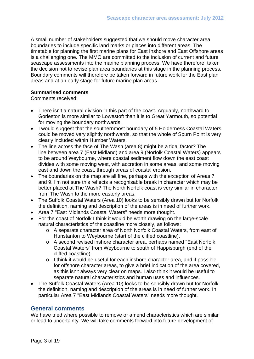<span id="page-4-0"></span>A small number of stakeholders suggested that we should move character area boundaries to include specific land marks or places into different areas. The timetable for planning the first marine plans for East Inshore and East Offshore areas is a challenging one. The MMO are committed to the inclusion of current and future seascape assessments into the marine planning process. We have therefore, taken the decision not to revise plan area boundaries at this stage in the planning process. Boundary comments will therefore be taken forward in future work for the East plan areas and at an early stage for future marine plan areas.

#### **Summarised comments**

Comments received:

- There isn't a natural division in this part of the coast. Arguably, northward to Gorleston is more similar to Lowestoft than it is to Great Yarmouth, so potential for moving the boundary northwards.
- I would suggest that the southernmost boundary of 5 Holderness Coastal Waters could be moved very slightly northwards, so that the whole of Spurn Point is very clearly included within Humber Waters.
- The line across the face of The Wash (area 8) might be a tidal factor? The line between area 7 (East Midland) and area 9 (Norfolk Coastal Waters) appears to be around Weybourne, where coastal sediment flow down the east coast divides with some moving west, with accretion in some areas, and some moving east and down the coast, through areas of coastal erosion.
- The boundaries on the map are all fine, perhaps with the exception of Areas 7 and 9. I'm not sure this reflects a recognisable break in character which may be better placed at The Wash? The North Norfolk coast is very similar in character from The Wash to the more easterly areas.
- The Suffolk Coastal Waters (Area 10) looks to be sensibly drawn but for Norfolk the definition, naming and description of the areas is in need of further work.
- Area 7 "East Midlands Coastal Waters" needs more thought.
- For the coast of Norfolk I think it would be worth drawing on the large-scale natural characteristics of the coastline more closely, as follows:
	- o A separate character area of North Norfolk Coastal Waters, from east of Hunstanton to Weybourne (start of the cliffed coastline).
	- o A second revised inshore character area, perhaps named "East Norfolk Coastal Waters" from Weybourne to south of Happisburgh (end of the cliffed coastline).
	- o I think it would be useful for each inshore character area, and if possible for offshore character areas, to give a brief indication of the area covered, as this isn't always very clear on maps. I also think it would be useful to separate natural characteristics and human uses and influences.
- The Suffolk Coastal Waters (Area 10) looks to be sensibly drawn but for Norfolk the definition, naming and description of the areas is in need of further work. In particular Area 7 "East Midlands Coastal Waters" needs more thought.

### **General comments**

We have tried where possible to remove or amend characteristics which are similar or lead to uncertainty. We will take comments forward into future development of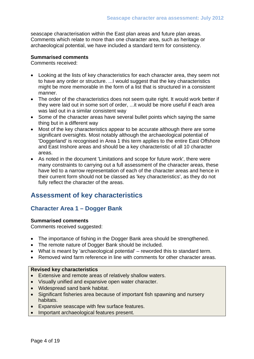<span id="page-5-0"></span>seascape characterisation within the East plan areas and future plan areas. Comments which relate to more than one character area, such as heritage or archaeological potential, we have included a standard term for consistency.

#### **Summarised comments**

Comments received:

- Looking at the lists of key characteristics for each character area, they seem not to have any order or structure. ...I would suggest that the key characteristics might be more memorable in the form of a list that is structured in a consistent manner.
- The order of the characteristics does not seem quite right. It would work better if they were laid out in some sort of order, ...it would be more useful if each area was laid out in a similar consistent way
- Some of the character areas have several bullet points which saying the same thing but in a different way
- Most of the key characteristics appear to be accurate although there are some significant oversights. Most notably although the archaeological potential of 'Doggerland' is recognised in Area 1 this term applies to the entire East Offshore and East Inshore areas and should be a key characteristic of all 10 character areas.
- As noted in the document 'Limitations and scope for future work', there were many constraints to carrying out a full assessment of the character areas, these have led to a narrow representation of each of the character areas and hence in their current form should not be classed as 'key characteristics', as they do not fully reflect the character of the areas.

# **Assessment of key characteristics**

## **Character Area 1 – Dogger Bank**

#### **Summarised comments**

Comments received suggested:

- The importance of fishing in the Dogger Bank area should be strengthened.
- The remote nature of Dogger Bank should be included.
- What is meant by 'archaeological potential' reworded this to standard term.
- Removed wind farm reference in line with comments for other character areas.

- Extensive and remote areas of relatively shallow waters.
- Visually unified and expansive open water character.
- Widespread sand bank habitat.
- Significant fisheries area because of important fish spawning and nursery habitats.
- Expansive seascape with few surface features.
- Important archaeological features present.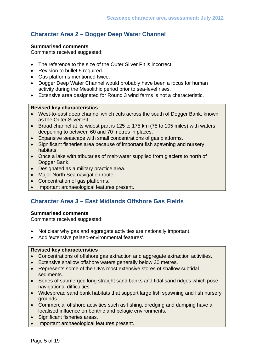## <span id="page-6-0"></span>**Character Area 2 – Dogger Deep Water Channel**

#### **Summarised comments**

Comments received suggested:

- The reference to the size of the Outer Silver Pit is incorrect.
- Revision to bullet 5 required.
- Gas platforms mentioned twice.
- Dogger Deep Water Channel would probably have been a focus for human activity during the Mesolithic period prior to sea-level rises.
- Extensive area designated for Round 3 wind farms is not a characteristic.

#### **Revised key characteristics**

- West-to-east deep channel which cuts across the south of Dogger Bank, known as the Outer Silver Pit.
- Broad channel at its widest part is 125 to 175 km (75 to 105 miles) with waters deepening to between 60 and 70 metres in places.
- Expansive seascape with small concentrations of gas platforms.
- Significant fisheries area because of important fish spawning and nursery habitats.
- Once a lake with tributaries of melt-water supplied from glaciers to north of Dogger Bank.
- Designated as a military practice area.
- Major North Sea navigation route.
- Concentration of gas platforms.
- Important archaeological features present.

## **Character Area 3 – East Midlands Offshore Gas Fields**

#### **Summarised comments**

Comments received suggested:

- Not clear why gas and aggregate activities are nationally important.
- Add 'extensive palaeo-environmental features'.

- Concentrations of offshore gas extraction and aggregate extraction activities.
- Extensive shallow offshore waters generally below 30 metres.
- Represents some of the UK's most extensive stores of shallow subtidal sediments.
- Series of submerged long straight sand banks and tidal sand ridges which pose navigational difficulties.
- Widespread sand bank habitats that support large fish spawning and fish nursery grounds.
- Commercial offshore activities such as fishing, dredging and dumping have a localised influence on benthic and pelagic environments.
- Significant fisheries areas.
- Important archaeological features present.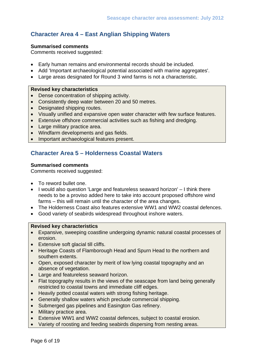## <span id="page-7-0"></span>**Character Area 4 – East Anglian Shipping Waters**

#### **Summarised comments**

Comments received suggested:

- Early human remains and environmental records should be included.
- Add 'Important archaeological potential associated with marine aggregates'.
- Large areas designated for Round 3 wind farms is not a characteristic.

#### **Revised key characteristics**

- Dense concentration of shipping activity.
- Consistently deep water between 20 and 50 metres.
- Designated shipping routes.
- Visually unified and expansive open water character with few surface features.
- Extensive offshore commercial activities such as fishing and dredging.
- Large military practice area.
- Windfarm developments and gas fields.
- Important archaeological features present.

## **Character Area 5 – Holderness Coastal Waters**

#### **Summarised comments**

Comments received suggested:

- To reword bullet one.
- I would also question 'Large and featureless seaward horizon' I think there needs to be a proviso added here to take into account proposed offshore wind farms – this will remain until the character of the area changes.
- The Holderness Coast also features extensive WW1 and WW2 coastal defences.
- Good variety of seabirds widespread throughout inshore waters.

- Expansive, sweeping coastline undergoing dynamic natural coastal processes of erosion.
- Extensive soft glacial till cliffs.
- Heritage Coasts of Flamborough Head and Spurn Head to the northern and southern extents.
- Open, exposed character by merit of low lying coastal topography and an absence of vegetation.
- Large and featureless seaward horizon.
- Flat topography results in the views of the seascape from land being generally restricted to coastal towns and immediate cliff edges.
- Heavily potted coastal waters with strong fishing heritage.
- Generally shallow waters which preclude commercial shipping.
- Submerged gas pipelines and Easington Gas refinery.
- Military practice area.
- Extensive WW1 and WW2 coastal defences, subject to coastal erosion.
- Variety of roosting and feeding seabirds dispersing from nesting areas.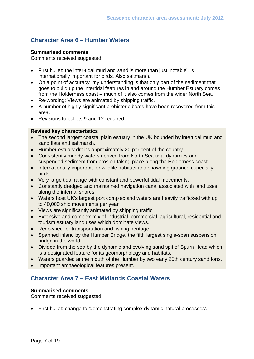## <span id="page-8-0"></span>**Character Area 6 – Humber Waters**

#### **Summarised comments**

Comments received suggested:

- First bullet: the inter-tidal mud and sand is more than just 'notable', is internationally important for birds. Also saltmarsh.
- On a point of accuracy, my understanding is that only part of the sediment that goes to build up the intertidal features in and around the Humber Estuary comes from the Holderness coast – much of it also comes from the wider North Sea.
- Re-wording: Views are animated by shipping traffic.
- A number of highly significant prehistoric boats have been recovered from this area.
- Revisions to bullets 9 and 12 required.

#### **Revised key characteristics**

- The second largest coastal plain estuary in the UK bounded by intertidal mud and sand flats and saltmarsh.
- Humber estuary drains approximately 20 per cent of the country.
- Consistently muddy waters derived from North Sea tidal dynamics and suspended sediment from erosion taking place along the Holderness coast.
- Internationally important for wildlife habitats and spawning grounds especially birds.
- Very large tidal range with constant and powerful tidal movements.
- Constantly dredged and maintained navigation canal associated with land uses along the internal shores.
- Waters host UK's largest port complex and waters are heavily trafficked with up to 40,000 ship movements per year.
- Views are significantly animated by shipping traffic.
- Extensive and complex mix of industrial, commercial, agricultural, residential and tourism estuary land uses which dominate views.
- Renowned for transportation and fishing heritage.
- Spanned inland by the Humber Bridge, the fifth largest single-span suspension bridge in the world.
- Divided from the sea by the dynamic and evolving sand spit of Spurn Head which is a designated feature for its geomorphology and habitats.
- Waters guarded at the mouth of the Humber by two early 20th century sand forts.
- Important archaeological features present.

## **Character Area 7 – East Midlands Coastal Waters**

#### **Summarised comments**

Comments received suggested:

• First bullet: change to 'demonstrating complex dynamic natural processes'.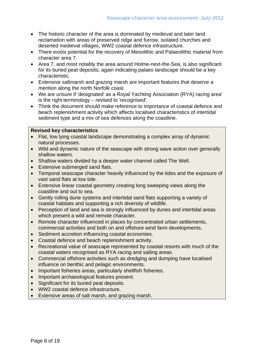- The historic character of the area is dominated by medieval and later land reclamation with areas of preserved ridge and furrow, isolated churches and deserted medieval villages, WW2 coastal defence infrastructure.
- There exists potential for the recovery of Mesolithic and Palaeolithic material from character area 7.
- Area 7, and most notably the area around Holme-next-the-Sea, is also significant for its buried peat deposits, again indicating palaeo landscape should be a key characteristic.
- Extensive saltmarsh and grazing marsh are important features that deserve a mention along the north Norfolk coast.
- We are unsure if 'designated' as a Royal Yachting Association (RYA) racing area' is the right terminology – revised to 'recognised'.
- Think the document should make reference to importance of coastal defence and beach replenishment activity which affects localised characteristics of intertidal sediment type and a mix of sea defences along the coastline.

- Flat, low lying coastal landscape demonstrating a complex array of dynamic natural processes.
- Wild and dynamic nature of the seascape with strong wave action over generally shallow waters.
- Shallow waters divided by a deeper water channel called The Well.
- Extensive submerged sand flats.
- Temporal seascape character heavily influenced by the tides and the exposure of vast sand flats at low tide.
- Extensive linear coastal geometry creating long sweeping views along the coastline and out to sea.
- Gently rolling dune systems and intertidal sand flats supporting a variety of coastal habitats and supporting a rich diversity of wildlife.
- Perception of land and sea is strongly influenced by dunes and intertidal areas which present a wild and remote character.
- Remote character influenced in places by concentrated urban settlements, commercial activities and both on and offshore wind farm developments.
- Sediment accretion influencing coastal economies.
- Coastal defence and beach replenishment activity.
- Recreational value of seascape represented by coastal resorts with much of the coastal waters recognised as RYA racing and sailing areas.
- Commercial offshore activities such as dredging and dumping have localised influence on benthic and pelagic environments.
- Important fisheries areas, particularly shellfish fisheries.
- Important archaeological features present.
- Significant for its buried peat deposits.
- WW2 coastal defence infrastructure.
- Extensive areas of salt marsh, and grazing marsh.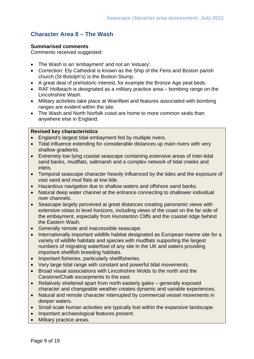## <span id="page-10-0"></span>**Character Area 8 – The Wash**

#### **Summarised comments**

Comments received suggested:

- The Wash is an 'embayment' and not an 'estuary'.
- Correction: Ely Cathedral is known as the Ship of the Fens and Boston parish church (St Botolph's) is the Boston Stump.
- A great deal of prehistoric interest, for example the Bronze Age peat beds.
- RAF Holbeach is designated as a military practice area bombing range on the Lincolnshire Wash.
- Military activities take place at Wainfleet and features associated with bombing ranges are evident within the site.
- The Wash and North Norfolk coast are home to more common seals than anywhere else in England.

- England's largest tidal embayment fed by multiple rivers.
- Tidal influence extending for considerable distances up main rivers with very shallow gradients.
- Extremely low lying coastal seascape containing extensive areas of inter-tidal sand banks, mudflats, saltmarsh and a complex network of tidal creeks and inlets.
- Temporal seascape character heavily influenced by the tides and the exposure of vast sand and mud flats at low tide.
- Hazardous navigation due to shallow waters and offshore sand banks.
- Natural deep water channel at the entrance connecting to shallower individual river channels.
- Seascape largely perceived at great distances creating panoramic views with extensive vistas to level horizons, including views of the coast on the far side of the embayment, especially from Hunstanton Cliffs and the coastal ridge behind the Eastern Wash.
- Generally remote and inaccessible seascape.
- Internationally important wildlife habitat designated as European marine site for a variety of wildlife habitats and species with mudflats supporting the largest numbers of migrating waterfowl of any site in the UK and waters providing important shellfish breeding habitats.
- Important fisheries, particularly shellfisheries.
- Very large tidal range with constant and powerful tidal movements.
- Broad visual associations with Lincolnshire Wolds to the north and the Carstone/Chalk escarpments to the east.
- Relatively sheltered apart from north easterly gales generally exposed character and changeable weather creates dynamic and variable experiences.
- Natural and remote character interrupted by commercial vessel movements in deeper waters.
- Small scale human activities are typically lost within the expansive landscape.
- Important archaeological features present.
- Military practice areas.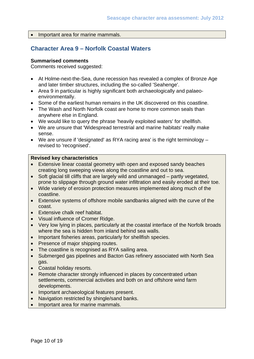<span id="page-11-0"></span>• Important area for marine mammals.

## **Character Area 9 – Norfolk Coastal Waters**

#### **Summarised comments**

Comments received suggested:

- At Holme-next-the-Sea, dune recession has revealed a complex of Bronze Age and later timber structures, including the so-called 'Seahenge'.
- Area 9 in particular is highly significant both archaeologically and palaeoenvironmentally.
- Some of the earliest human remains in the UK discovered on this coastline.
- The Wash and North Norfolk coast are home to more common seals than anywhere else in England.
- We would like to query the phrase 'heavily exploited waters' for shellfish.
- We are unsure that 'Widespread terrestrial and marine habitats' really make sense.
- We are unsure if 'designated' as RYA racing area' is the right terminology revised to 'recognised'.

- Extensive linear coastal geometry with open and exposed sandy beaches creating long sweeping views along the coastline and out to sea.
- Soft glacial till cliffs that are largely wild and unmanaged partly vegetated, prone to slippage through ground water infiltration and easily eroded at their toe.
- Wide variety of erosion protection measures implemented along much of the coastline.
- Extensive systems of offshore mobile sandbanks aligned with the curve of the coast.
- Extensive chalk reef habitat.
- Visual influence of Cromer Ridge.
- Very low lying in places, particularly at the coastal interface of the Norfolk broads where the sea is hidden from inland behind sea walls.
- Important fisheries areas, particularly for shellfish species.
- Presence of major shipping routes.
- The coastline is recognised as RYA sailing area.
- Submerged gas pipelines and Bacton Gas refinery associated with North Sea gas.
- Coastal holiday resorts.
- Remote character strongly influenced in places by concentrated urban settlements, commercial activities and both on and offshore wind farm developments.
- Important archaeological features present.
- Navigation restricted by shingle/sand banks.
- Important area for marine mammals.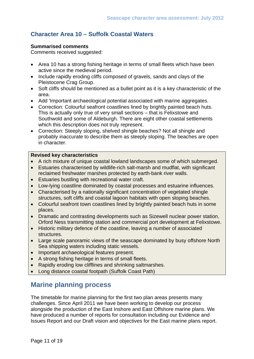# <span id="page-12-0"></span>**Character Area 10 – Suffolk Coastal Waters**

#### **Summarised comments**

Comments received suggested:

- Area 10 has a strong fishing heritage in terms of small fleets which have been active since the medieval period.
- Include rapidly eroding cliffs composed of gravels, sands and clays of the Pleistocene Crag Group.
- Soft cliffs should be mentioned as a bullet point as it is a key characteristic of the area.
- Add 'Important archaeological potential associated with marine aggregates.
- Correction: Colourful seafront coastlines lined by brightly painted beach huts. This is actually only true of very small sections – that is Felixstowe and Southwold and some of Aldeburgh. There are eight other coastal settlements which this description does not truly represent.
- Correction: Steeply sloping, shelved shingle beaches? Not all shingle and probably inaccurate to describe them as steeply sloping. The beaches are open in character.

#### **Revised key characteristics**

- A rich mixture of unique coastal lowland landscapes some of which submerged.
- Estuaries characterised by wildlife-rich salt-marsh and mudflat, with significant reclaimed freshwater marshes protected by earth-bank river walls.
- Estuaries bustling with recreational water craft.
- Low-lying coastline dominated by coastal processes and estuarine influences.
- Characterised by a nationally significant concentration of vegetated shingle structures, soft cliffs and coastal lagoon habitats with open sloping beaches.
- Colourful seafront town coastlines lined by brightly painted beach huts in some places.
- Dramatic and contrasting developments such as Sizewell nuclear power station, Orford Ness transmitting station and commercial port development at Felixstowe.
- Historic military defence of the coastline, leaving a number of associated structures.
- Large scale panoramic views of the seascape dominated by busy offshore North Sea shipping waters including static vessels.
- Important archaeological features present.
- A strong fishing heritage in terms of small fleets.
- Rapidly eroding low clifflines and shrinking saltmarshes.
- Long distance coastal footpath (Suffolk Coast Path)

# **Marine planning process**

The timetable for marine planning for the first two plan areas presents many challenges. Since April 2011 we have been working to develop our process alongside the production of the East Inshore and East Offshore marine plans. We have produced a number of reports for consultation including our Evidence and Issues Report and our Draft vision and objectives for the East marine plans report.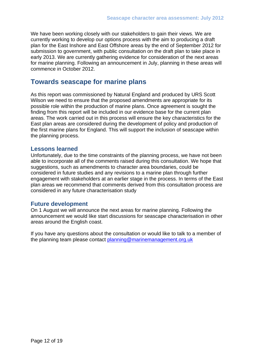<span id="page-13-0"></span>We have been working closely with our stakeholders to gain their views. We are currently working to develop our options process with the aim to producing a draft plan for the East Inshore and East Offshore areas by the end of September 2012 for submission to government, with public consultation on the draft plan to take place in early 2013. We are currently gathering evidence for consideration of the next areas for marine planning. Following an announcement in July, planning in these areas will commence in October 2012.

# **Towards seascape for marine plans**

As this report was commissioned by Natural England and produced by URS Scott Wilson we need to ensure that the proposed amendments are appropriate for its possible role within the production of marine plans. Once agreement is sought the finding from this report will be included in our evidence base for the current plan areas. The work carried out in this process will ensure the key characteristics for the East plan areas are considered during the development of policy and production of the first marine plans for England. This will support the inclusion of seascape within the planning process.

### **Lessons learned**

Unfortunately, due to the time constraints of the planning process, we have not been able to incorporate all of the comments raised during this consultation. We hope that suggestions, such as amendments to character area boundaries, could be considered in future studies and any revisions to a marine plan through further engagement with stakeholders at an earlier stage in the process. In terms of the East plan areas we recommend that comments derived from this consultation process are considered in any future characterisation study

#### **Future development**

On 1 August we will announce the next areas for marine planning. Following the announcement we would like start discussions for seascape characterisation in other areas around the English coast.

If you have any questions about the consultation or would like to talk to a member of the planning team please contact [planning@marinemanagement.org.uk](mailto:planning@marinemanagement.org.uk)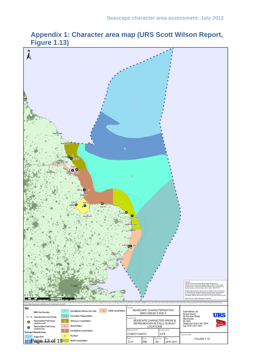# **Appendix 1: Character area map (URS Scott Wilson Report, Figure 1.13)**

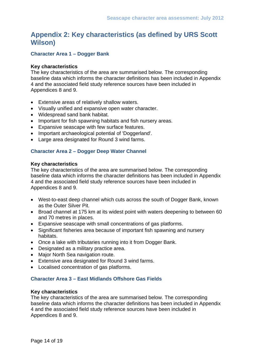# <span id="page-15-0"></span>**Appendix 2: Key characteristics (as defined by URS Scott Wilson)**

### **Character Area 1 – Dogger Bank**

#### **Key characteristics**

The key characteristics of the area are summarised below. The corresponding baseline data which informs the character definitions has been included in Appendix 4 and the associated field study reference sources have been included in Appendices 8 and 9.

- Extensive areas of relatively shallow waters.
- Visually unified and expansive open water character.
- Widespread sand bank habitat.
- Important for fish spawning habitats and fish nursery areas.
- Expansive seascape with few surface features.
- Important archaeological potential of 'Doggerland'.
- Large area designated for Round 3 wind farms.

#### **Character Area 2 – Dogger Deep Water Channel**

#### **Key characteristics**

The key characteristics of the area are summarised below. The corresponding baseline data which informs the character definitions has been included in Appendix 4 and the associated field study reference sources have been included in Appendices 8 and 9.

- West-to-east deep channel which cuts across the south of Dogger Bank, known as the Outer Silver Pit.
- Broad channel at 175 km at its widest point with waters deepening to between 60 and 70 metres in places.
- Expansive seascape with small concentrations of gas platforms.
- Significant fisheries area because of important fish spawning and nursery habitats.
- Once a lake with tributaries running into it from Dogger Bank.
- Designated as a military practice area.
- Major North Sea navigation route.
- Extensive area designated for Round 3 wind farms.
- Localised concentration of gas platforms.

#### **Character Area 3 – East Midlands Offshore Gas Fields**

#### **Key characteristics**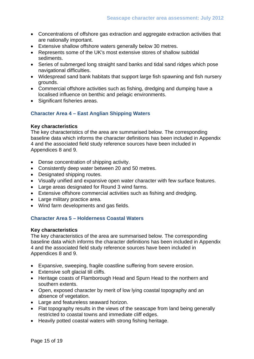- Concentrations of offshore gas extraction and aggregate extraction activities that are nationally important.
- Extensive shallow offshore waters generally below 30 metres.
- Represents some of the UK's most extensive stores of shallow subtidal sediments.
- Series of submerged long straight sand banks and tidal sand ridges which pose navigational difficulties.
- Widespread sand bank habitats that support large fish spawning and fish nursery grounds.
- Commercial offshore activities such as fishing, dredging and dumping have a localised influence on benthic and pelagic environments.
- Significant fisheries areas.

### **Character Area 4 – East Anglian Shipping Waters**

#### **Key characteristics**

The key characteristics of the area are summarised below. The corresponding baseline data which informs the character definitions has been included in Appendix 4 and the associated field study reference sources have been included in Appendices 8 and 9.

- Dense concentration of shipping activity.
- Consistently deep water between 20 and 50 metres.
- Designated shipping routes.
- Visually unified and expansive open water character with few surface features.
- Large areas designated for Round 3 wind farms.
- Extensive offshore commercial activities such as fishing and dredging.
- Large military practice area.
- Wind farm developments and gas fields.

### **Character Area 5 – Holderness Coastal Waters**

#### **Key characteristics**

- Expansive, sweeping, fragile coastline suffering from severe erosion.
- Extensive soft glacial till cliffs.
- Heritage coasts of Flamborough Head and Spurn Head to the northern and southern extents.
- Open, exposed character by merit of low lying coastal topography and an absence of vegetation.
- Large and featureless seaward horizon.
- Flat topography results in the views of the seascape from land being generally restricted to coastal towns and immediate cliff edges.
- Heavily potted coastal waters with strong fishing heritage.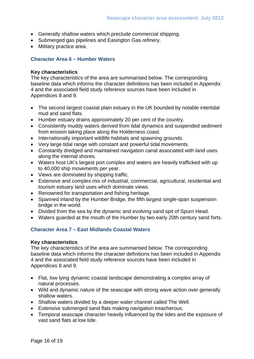- Generally shallow waters which preclude commercial shipping.
- Submerged gas pipelines and Easington Gas refinery.
- Military practice area.

### **Character Area 6 – Humber Waters**

#### **Key characteristics**

The key characteristics of the area are summarised below. The corresponding baseline data which informs the character definitions has been included in Appendix 4 and the associated field study reference sources have been included in Appendices 8 and 9.

- The second largest coastal plain estuary in the UK bounded by notable intertidal mud and sand flats.
- Humber estuary drains approximately 20 per cent of the country.
- Consistently muddy waters derived from tidal dynamics and suspended sediment from erosion taking place along the Holderness coast.
- Internationally important wildlife habitats and spawning grounds.
- Very large tidal range with constant and powerful tidal movements.
- Constantly dredged and maintained navigation canal associated with land uses along the internal shores.
- Waters host UK's largest port complex and waters are heavily trafficked with up to 40,000 ship movements per year.
- Views are dominated by shipping traffic.
- Extensive and complex mix of industrial, commercial, agricultural, residential and tourism estuary land uses which dominate views.
- Renowned for transportation and fishing heritage.
- Spanned inland by the Humber Bridge, the fifth largest single-span suspension bridge in the world.
- Divided from the sea by the dynamic and evolving sand spit of Spurn Head.
- Waters guarded at the mouth of the Humber by two early 20th century sand forts.

### **Character Area 7 – East Midlands Coastal Waters**

#### **Key characteristics**

- Flat, low lying dynamic coastal landscape demonstrating a complex array of natural processes.
- Wild and dynamic nature of the seascape with strong wave action over generally shallow waters.
- Shallow waters divided by a deeper water channel called The Well.
- Extensive submerged sand flats making navigation treacherous.
- Temporal seascape character heavily influenced by the tides and the exposure of vast sand flats at low tide.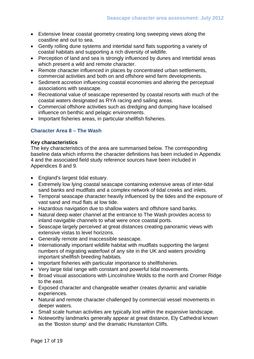- Extensive linear coastal geometry creating long sweeping views along the coastline and out to sea.
- Gently rolling dune systems and intertidal sand flats supporting a variety of coastal habitats and supporting a rich diversity of wildlife.
- Perception of land and sea is strongly influenced by dunes and intertidal areas which present a wild and remote character.
- Remote character influenced in places by concentrated urban settlements, commercial activities and both on and offshore wind farm developments.
- Sediment accretion influencing coastal economies and altering the perceptual associations with seascape.
- Recreational value of seascape represented by coastal resorts with much of the coastal waters designated as RYA racing and sailing areas.
- Commercial offshore activities such as dredging and dumping have localised influence on benthic and pelagic environments.
- Important fisheries areas, in particular shellfish fisheries.

## **Character Area 8 – The Wash**

#### **Key characteristics**

- England's largest tidal estuary.
- Extremely low lying coastal seascape containing extensive areas of inter-tidal sand banks and mudflats and a complex network of tidal creeks and inlets.
- Temporal seascape character heavily influenced by the tides and the exposure of vast sand and mud flats at low tide.
- Hazardous navigation due to shallow waters and offshore sand banks.
- Natural deep water channel at the entrance to The Wash provides access to inland navigable channels to what were once coastal ports.
- Seascape largely perceived at great distances creating panoramic views with extensive vistas to level horizons.
- Generally remote and inaccessible seascape.
- Internationally important wildlife habitat with mudflats supporting the largest numbers of migrating waterfowl of any site in the UK and waters providing important shellfish breeding habitats.
- Important fisheries with particular importance to shellfisheries.
- Very large tidal range with constant and powerful tidal movements.
- Broad visual associations with Lincolnshire Wolds to the north and Cromer Ridge to the east.
- Exposed character and changeable weather creates dynamic and variable experiences.
- Natural and remote character challenged by commercial vessel movements in deeper waters.
- Small scale human activities are typically lost within the expansive landscape.
- Noteworthy landmarks generally appear at great distance, Ely Cathedral known as the 'Boston stump' and the dramatic Hunstanton Cliffs.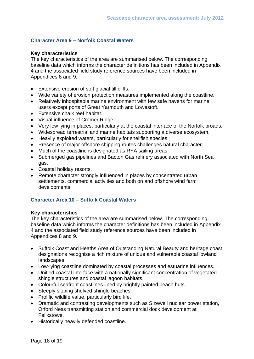### **Character Area 9 – Norfolk Coastal Waters**

#### **Key characteristics**

The key characteristics of the area are summarised below. The corresponding baseline data which informs the character definitions has been included in Appendix 4 and the associated field study reference sources have been included in Appendices 8 and 9.

- Extensive erosion of soft glacial till cliffs.
- Wide variety of erosion protection measures implemented along the coastline.
- Relatively inhospitable marine environment with few safe havens for marine users except ports of Great Yarmouth and Lowestoft.
- Extensive chalk reef habitat.
- Visual influence of Cromer Ridge.
- Very low lying in places, particularly at the coastal interface of the Norfolk broads.
- Widespread terrestrial and marine habitats supporting a diverse ecosystem.
- Heavily exploited waters, particularly for shellfish species.
- Presence of major offshore shipping routes challenges natural character.
- Much of the coastline is designated as RYA sailing areas.
- Submerged gas pipelines and Bacton Gas refinery associated with North Sea gas.
- Coastal holiday resorts.
- Remote character strongly influenced in places by concentrated urban settlements, commercial activities and both on and offshore wind farm developments.

#### **Character Area 10 – Suffolk Coastal Waters**

#### **Key characteristics**

- Suffolk Coast and Heaths Area of Outstanding Natural Beauty and heritage coast designations recognise a rich mixture of unique and vulnerable coastal lowland landscapes.
- Low-lying coastline dominated by coastal processes and estuarine influences.
- Unified coastal interface with a nationally significant concentration of vegetated shingle structures and coastal lagoon habitats.
- Colourful seafront coastlines lined by brightly painted beach huts.
- Steeply sloping shelved shingle beaches.
- Prolific wildlife value, particularly bird life.
- Dramatic and contrasting developments such as Sizewell nuclear power station, Orford Ness transmitting station and commercial dock development at Felixstowe.
- Historically heavily defended coastline.